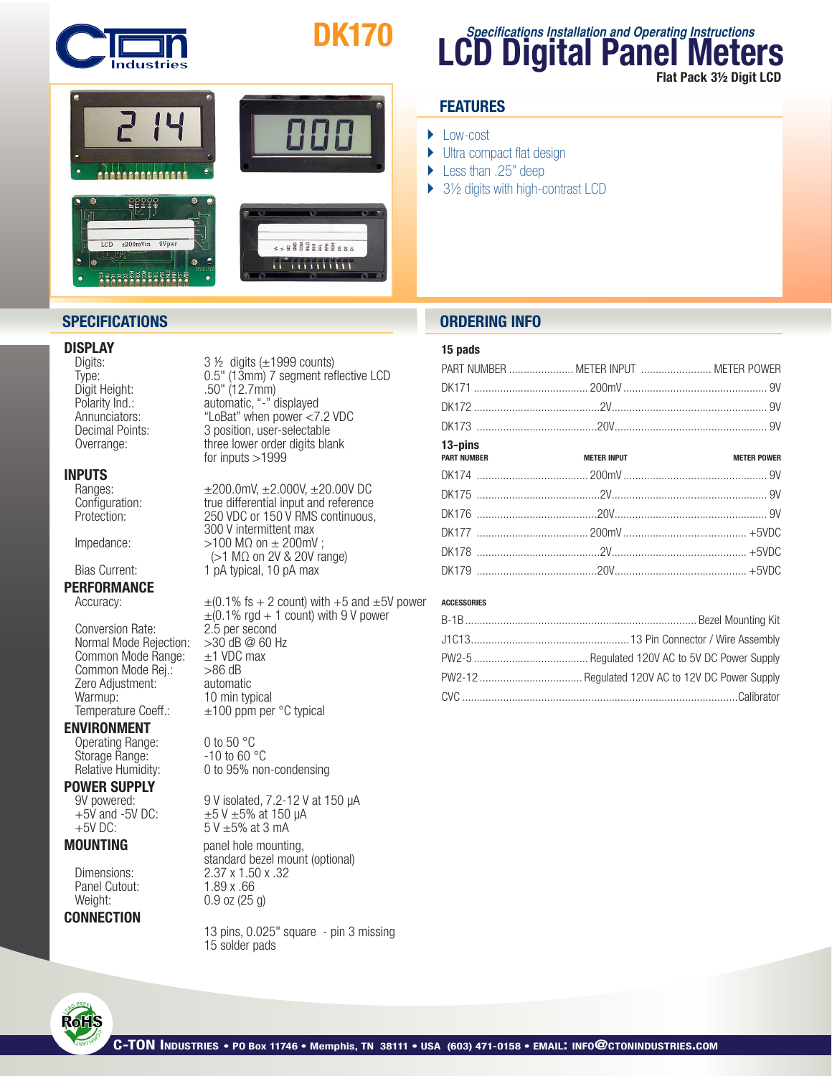

# DK170



### **DISPLAY**<br>Digits:

 Digit Height: .50" (12.7mm)

## **INPUTS**<br>Ranges:

### PERFORMANCE

Conversion Rate:  $2.\overline{5}$  per second<br>Normal Mode Rejection:  $>30$  dB @ 60 Hz Normal Mode Rejection:  $>30$  dB @ 60<br>Common Mode Range:  $\pm 1$  VDC max Common Mode Range:  $\pm$ 1 VDC<br>Common Mode Rei.:  $>$ 86 dB Common Mode Rej.:  $>86$  dB<br>Zero Adiustment: automatic Zero Adjustment:<br>Warmup: Warmup: 10 min typical<br>Temperature Coeff.:  $\pm 100$  ppm per

#### ENVIRONMENT

Operating Range: 0 to 50 °C<br>Storage Range: -10 to 60 °C Storage Range:

## **POWER SUPPLY**<br>9V powered:

Panel Cutout: 1.89 x .66<br>Weight: 0.9 oz (25

#### **CONNECTION**

 $3\frac{1}{2}$  digits ( $\pm$ 1999 counts) Type: 0.5" (13mm) 7 segment reflective LCD Polarity Ind.: automatic,"-" displayed "LoBat" when power <7.2 VDC Decimal Points: 3 position, user-selectable Overrange: three lower order digits blank<br>for inputs >1999

Ranges:  $±200.0$ mV,  $±2.000V$ ,  $±20.00V$  DC<br>Configuration: true differential input and reference Configuration: <br>
Protection: 250 VDC or 150 V RMS continuous. Protection: 250 VDC or 150 V RMS continuous, 300 V intermittent max Impedance:  $>100$  M $\Omega$  on  $\pm$  200mV ;  $(>1 \text{ M}\Omega \text{ on } 2\text{V} \& 20\text{V range})$ <br>Bias Current: 1 pA typical. 10 pA max 1 pA typical, 10 pA max

Accuracy:  $\pm (0.1\% \text{ fs} + 2 \text{ count}) \text{ with } +5 \text{ and } \pm 5\% \text{ power}$  $\pm$ (0.1% rgd + 1 count) with 9 V power<br>2.5 per second  $±100$  ppm per °C typical

Relative Humidity: 0 to 95% non-condensing

9V powered: 9 V isolated, 7.2-12 V at 150  $\mu$ A<br>+5V and -5V DC:  $\pm$ 5V  $\pm$ 5% at 150  $\mu$ A  $+5V$  and -5V DC:  $\pm 5V \pm 5\%$  at 150 µA<br>+5V DC:  $5V \pm 5\%$  at 3 mA  $5V \pm 5%$  at 3 mA

**MOUNTING** panel hole mounting,<br>
Dimensions: 2.37 x 1.50 x .32 2.37 x 1.50 x .32  $0.9$  oz (25 g)

> 13 pins, 0.025" square - pin 3 missing 15 solder pads

### **FEATURES**

- ▶ Low-cost
- ▶ Ultra compact flat design
- ▶ Less than .25" deep
- ▶ 3½ digits with high-contrast LCD

### **SPECIFICATIONS ORDERING INFO**

#### 15 pads

| <b>METER POWER</b>                                               |
|------------------------------------------------------------------|
|                                                                  |
|                                                                  |
|                                                                  |
|                                                                  |
|                                                                  |
|                                                                  |
| PART NUMBER  METER INPUT  METER POWER<br>PART NUMBER NETER INPUT |

**LCD Digital Panel Meters**

Flat Pack 3½ Digit LCD

**Specifications Installation and Operating Instructions**

#### ACCESSORIES